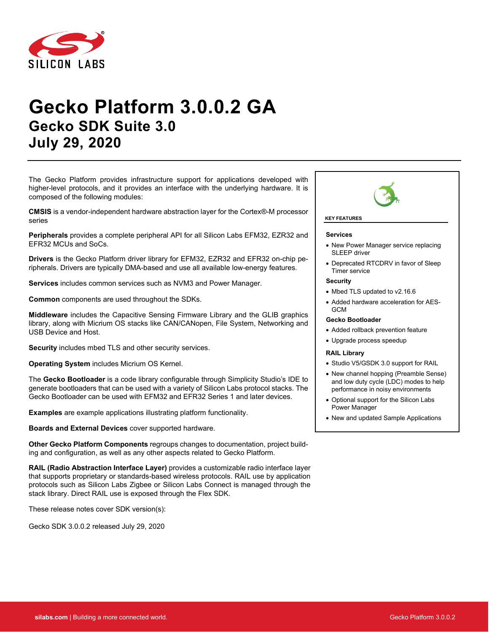

# **Gecko Platform 3.0.0.2 GA Gecko SDK Suite 3.0 July 29, 2020**

The Gecko Platform provides infrastructure support for applications developed with higher-level protocols, and it provides an interface with the underlying hardware. It is composed of the following modules:

**CMSIS** is a vendor-independent hardware abstraction layer for the Cortex®-M processor series

**Peripherals** provides a complete peripheral API for all Silicon Labs EFM32, EZR32 and EFR32 MCUs and SoCs.

**Drivers** is the Gecko Platform driver library for EFM32, EZR32 and EFR32 on-chip peripherals. Drivers are typically DMA-based and use all available low-energy features.

**Services** includes common services such as NVM3 and Power Manager.

**Common** components are used throughout the SDKs.

**Middleware** includes the Capacitive Sensing Firmware Library and the GLIB graphics library, along with Micrium OS stacks like CAN/CANopen, File System, Networking and USB Device and Host.

**Security** includes mbed TLS and other security services.

**Operating System** includes Micrium OS Kernel.

The **Gecko Bootloader** is a code library configurable through Simplicity Studio's IDE to generate bootloaders that can be used with a variety of Silicon Labs protocol stacks. The Gecko Bootloader can be used with EFM32 and EFR32 Series 1 and later devices.

**Examples** are example applications illustrating platform functionality.

**Boards and External Devices** cover supported hardware.

**Other Gecko Platform Components** regroups changes to documentation, project building and configuration, as well as any other aspects related to Gecko Platform.

**RAIL (Radio Abstraction Interface Layer)** provides a customizable radio interface layer that supports proprietary or standards-based wireless protocols. RAIL use by application protocols such as Silicon Labs Zigbee or Silicon Labs Connect is managed through the stack library. Direct RAIL use is exposed through the Flex SDK.

These release notes cover SDK version(s):

Gecko SDK 3.0.0.2 released July 29, 2020



#### **KEY FEATURES**

#### **Services**

- New Power Manager service replacing SI FFP driver
- Deprecated RTCDRV in favor of Sleep Timer service

#### **Security**

- Mbed TLS updated to v2.16.6
- Added hardware acceleration for AES-**GCM**

#### **Gecko Bootloader**

- Added rollback prevention feature
- Upgrade process speedup

#### **RAIL Library**

- Studio V5/GSDK 3.0 support for RAIL
- New channel hopping (Preamble Sense) and low duty cycle (LDC) modes to help performance in noisy environments
- Optional support for the Silicon Labs Power Manager
- New and updated Sample Applications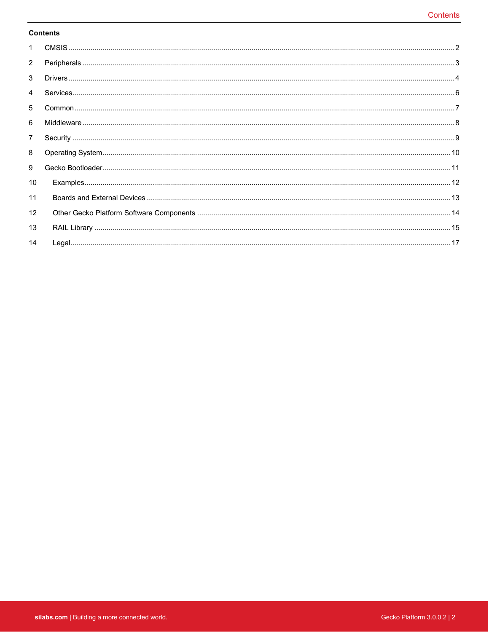#### **Contents**

| $\mathbf{1}$    |  |
|-----------------|--|
| $\overline{2}$  |  |
| 3               |  |
| 4               |  |
| 5               |  |
| 6               |  |
| $\overline{7}$  |  |
| 8               |  |
| 9               |  |
| 10 <sup>°</sup> |  |
| 11              |  |
| 12              |  |
| 13              |  |
| 14              |  |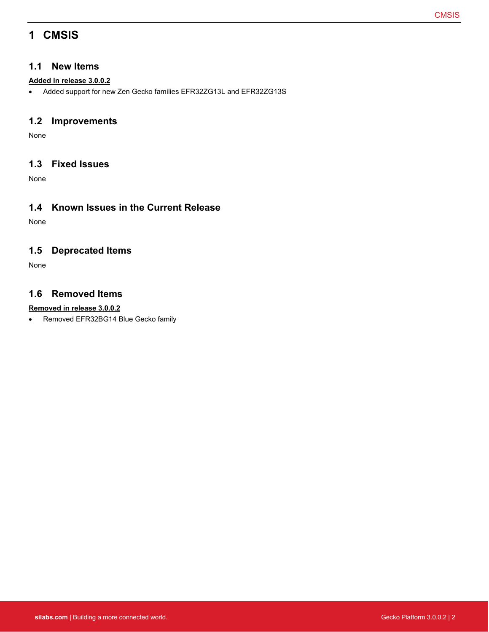## <span id="page-2-0"></span>**1 CMSIS**

#### **1.1 New Items**

#### **Added in release 3.0.0.2**

• Added support for new Zen Gecko families EFR32ZG13L and EFR32ZG13S

### **1.2 Improvements**

None

### **1.3 Fixed Issues**

None

### **1.4 Known Issues in the Current Release**

None

### **1.5 Deprecated Items**

None

### **1.6 Removed Items**

#### **Removed in release 3.0.0.2**

• Removed EFR32BG14 Blue Gecko family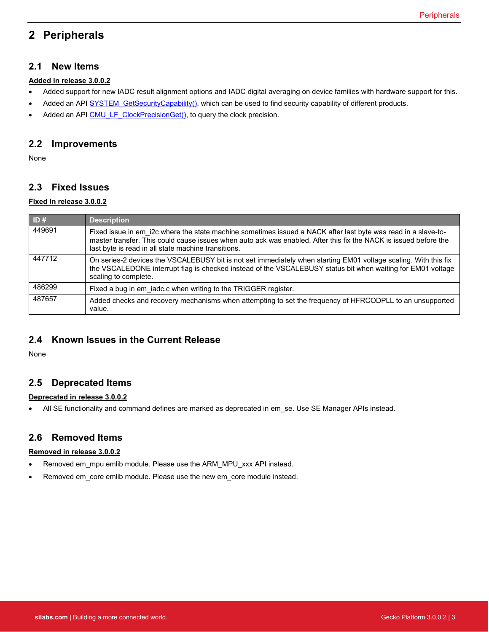## <span id="page-3-0"></span>**2 Peripherals**

#### **2.1 New Items**

#### **Added in release 3.0.0.2**

- Added support for new IADC result alignment options and IADC digital averaging on device families with hardware support for this.
- Added an API SYSTEM GetSecurityCapability(), which can be used to find security capability of different products.
- Added an API [CMU\\_LF\\_ClockPrecisionGet\(\),](https://docs.silabs.com/gecko-platform/latest/emlib/api/efm32gg/group-cmu#gab7e78ce28916a3faba3c674a36eb12b1) to query the clock precision.

#### **2.2 Improvements**

None

#### **2.3 Fixed Issues**

#### **Fixed in release 3.0.0.2**

| ID#    | <b>Description</b>                                                                                                                                                                                                                                                                       |
|--------|------------------------------------------------------------------------------------------------------------------------------------------------------------------------------------------------------------------------------------------------------------------------------------------|
| 449691 | Fixed issue in em i2c where the state machine sometimes issued a NACK after last byte was read in a slave-to-<br>master transfer. This could cause issues when auto ack was enabled. After this fix the NACK is issued before the<br>last byte is read in all state machine transitions. |
| 447712 | On series-2 devices the VSCALEBUSY bit is not set immediately when starting EM01 voltage scaling. With this fix<br>the VSCALEDONE interrupt flag is checked instead of the VSCALEBUSY status bit when waiting for EM01 voltage<br>scaling to complete.                                   |
| 486299 | Fixed a bug in em iadc.c when writing to the TRIGGER register.                                                                                                                                                                                                                           |
| 487657 | Added checks and recovery mechanisms when attempting to set the frequency of HFRCODPLL to an unsupported<br>value.                                                                                                                                                                       |

### **2.4 Known Issues in the Current Release**

None

#### **2.5 Deprecated Items**

#### **Deprecated in release 3.0.0.2**

• All SE functionality and command defines are marked as deprecated in em se. Use SE Manager APIs instead.

### **2.6 Removed Items**

#### **Removed in release 3.0.0.2**

- Removed em\_mpu emlib module. Please use the ARM\_MPU\_xxx API instead.
- Removed em\_core emlib module. Please use the new em\_core module instead.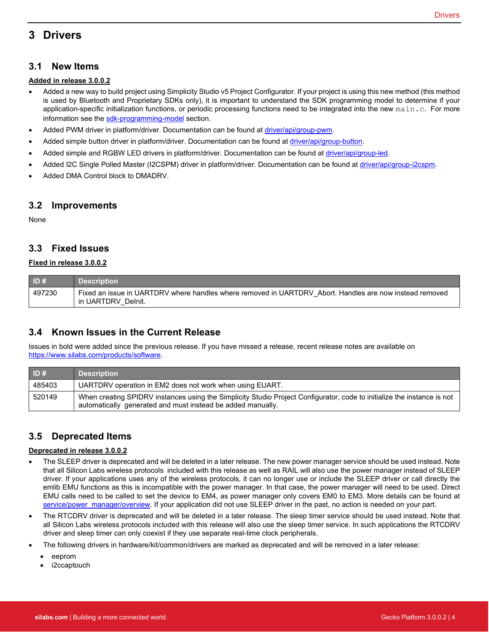## <span id="page-4-0"></span>**3 Drivers**

#### **3.1 New Items**

#### **Added in release 3.0.0.2**

- Added a new way to build project using Simplicity Studio v5 Project Configurator. If your project is using this new method (this method is used by Bluetooth and Proprietary SDKs only), it is important to understand the SDK programming model to determine if your application-specific initialization functions, or periodic processing functions need to be integrated into the new main.c. For more information see the [sdk-programming-model](https://docs.silabs.com/gecko-platform/latest/sdk-programming-model) section.
- Added PWM driver in platform/driver. Documentation can be found at [driver/api/group-pwm.](https://docs.silabs.com/gecko-platform/latest/driver/api/group-pwm)
- Added simple button driver in platform/driver. Documentation can be found at *driver/api/group-button*.
- Added simple and RGBW LED drivers in platform/driver. Documentation can be found at [driver/api/group-led.](https://docs.silabs.com/gecko-platform/latest/driver/api/group-led)
- Added I2C Single Polled Master (I2CSPM) driver in platform/driver. Documentation can be found a[t driver/api/group-i2cspm.](https://docs.silabs.com/gecko-platform/latest/driver/api/group-i2cspm)
- Added DMA Control block to DMADRV.

#### **3.2 Improvements**

None

#### **3.3 Fixed Issues**

#### **Fixed in release 3.0.0.2**

| ID#    | <b>Description</b>                                                                                                            |
|--------|-------------------------------------------------------------------------------------------------------------------------------|
| 497230 | Fixed an issue in UARTDRV where handles where removed in UARTDRV Abort. Handles are now instead removed<br>in UARTDRV_Delnit. |

### **3.4 Known Issues in the Current Release**

Issues in bold were added since the previous release. If you have missed a release, recent release notes are available on [https://www.silabs.com/products/software.](https://www.silabs.com/products/software)

| ID#    | <b>Description</b>                                                                                                                                                                     |
|--------|----------------------------------------------------------------------------------------------------------------------------------------------------------------------------------------|
| 485403 | UARTDRV operation in EM2 does not work when using EUART.                                                                                                                               |
| 520149 | When creating SPIDRV instances using the Simplicity Studio Project Configurator, code to initialize the instance is not<br>automatically generated and must instead be added manually. |

### **3.5 Deprecated Items**

#### **Deprecated in release 3.0.0.2**

- The SLEEP driver is deprecated and will be deleted in a later release. The new power manager service should be used instead. Note that all Silicon Labs wireless protocols included with this release as well as RAIL will also use the power manager instead of SLEEP driver. If your applications uses any of the wireless protocols, it can no longer use or include the SLEEP driver or call directly the emlib EMU functions as this is incompatible with the power manager. In that case, the power manager will need to be used. Direct EMU calls need to be called to set the device to EM4, as power manager only covers EM0 to EM3. More details can be found at [service/power\\_manager/overview.](https://docs.silabs.com/gecko-platform/latest/service/power_manager/overview) If your application did not use SLEEP driver in the past, no action is needed on your part.
- The RTCDRV driver is deprecated and will be deleted in a later release. The sleep timer service should be used instead. Note that all Silicon Labs wireless protocols included with this release will also use the sleep timer service. In such applications the RTCDRV driver and sleep timer can only coexist if they use separate real-time clock peripherals.
- The following drivers in hardware/kit/common/drivers are marked as deprecated and will be removed in a later release:
	- eeprom
	- i2ccaptouch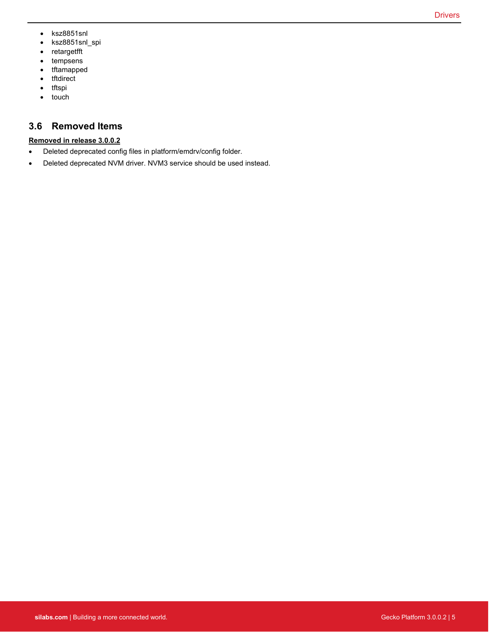- ksz8851snl
- ksz8851snl\_spi
- retargetfft
- tempsens
- tftamapped
- tftdirect
- tftspi
- touch

### **3.6 Removed Items**

#### **Removed in release 3.0.0.2**

- Deleted deprecated config files in platform/emdrv/config folder.
- Deleted deprecated NVM driver. NVM3 service should be used instead.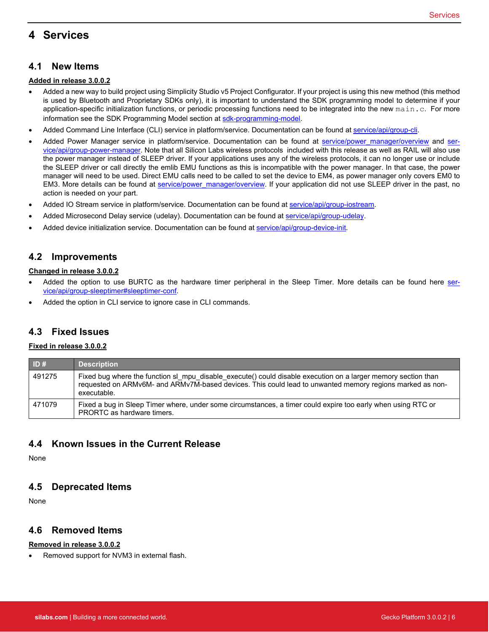## <span id="page-6-0"></span>**4 Services**

#### **4.1 New Items**

#### **Added in release 3.0.0.2**

- Added a new way to build project using Simplicity Studio v5 Project Configurator. If your project is using this new method (this method is used by Bluetooth and Proprietary SDKs only), it is important to understand the SDK programming model to determine if your application-specific initialization functions, or periodic processing functions need to be integrated into the new main.c. For more information see the SDK Programming Model section a[t sdk-programming-model.](https://docs.silabs.com/gecko-platform/latest/sdk-programming-model)
- Added Command Line Interface (CLI) service in platform/service. Documentation can be found a[t service/api/group-cli.](https://docs.silabs.com/gecko-platform/latest/service/api/group-cli)
- Added Power Manager service in platform/service. Documentation can be found at [service/power\\_manager/overview](https://docs.silabs.com/gecko-platform/latest/service/power_manager/overview) and [ser](https://docs.silabs.com/gecko-platform/latest/service/api/group-power-manager)[vice/api/group-power-manager.](https://docs.silabs.com/gecko-platform/latest/service/api/group-power-manager) Note that all Silicon Labs wireless protocols included with this release as well as RAIL will also use the power manager instead of SLEEP driver. If your applications uses any of the wireless protocols, it can no longer use or include the SLEEP driver or call directly the emlib EMU functions as this is incompatible with the power manager. In that case, the power manager will need to be used. Direct EMU calls need to be called to set the device to EM4, as power manager only covers EM0 to EM3. More details can be found at [service/power\\_manager/overview.](https://docs.silabs.com/gecko-platform/latest/service/power_manager/overview) If your application did not use SLEEP driver in the past, no action is needed on your part.
- Added IO Stream service in platform/service. Documentation can be found a[t service/api/group-iostream.](https://docs.silabs.com/gecko-platform/latest/service/api/group-iostream)
- Added Microsecond Delay service (udelay). Documentation can be found a[t service/api/group-udelay.](https://docs.silabs.com/gecko-platform/latest/service/api/group-udelay)
- Added device initialization service. Documentation can be found at [service/api/group-device-init.](https://docs.silabs.com/gecko-platform/latest/service/api/group-device-init)

#### **4.2 Improvements**

#### **Changed in release 3.0.0.2**

- Added the option to use BURTC as the hardware timer peripheral in the Sleep Timer. More details can be found here [ser](https://docs.silabs.com/gecko-platform/latest/service/api/group-sleeptimer#sleeptimer-conf)[vice/api/group-sleeptimer#sleeptimer-conf.](https://docs.silabs.com/gecko-platform/latest/service/api/group-sleeptimer#sleeptimer-conf)
- Added the option in CLI service to ignore case in CLI commands.

#### **4.3 Fixed Issues**

#### **Fixed in release 3.0.0.2**

| ID#    | <b>Description</b>                                                                                                                                                                                                                       |
|--------|------------------------------------------------------------------------------------------------------------------------------------------------------------------------------------------------------------------------------------------|
| 491275 | Fixed bug where the function sl mpu disable execute() could disable execution on a larger memory section than<br>requested on ARMv6M- and ARMv7M-based devices. This could lead to unwanted memory regions marked as non-<br>executable. |
| 471079 | Fixed a bug in Sleep Timer where, under some circumstances, a timer could expire too early when using RTC or<br>PRORTC as hardware timers.                                                                                               |

#### **4.4 Known Issues in the Current Release**

None

#### **4.5 Deprecated Items**

None

#### **4.6 Removed Items**

#### **Removed in release 3.0.0.2**

• Removed support for NVM3 in external flash.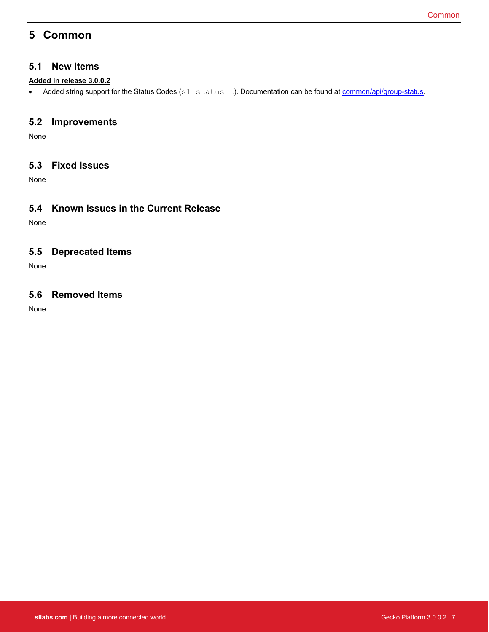## <span id="page-7-0"></span>**5 Common**

#### **5.1 New Items**

#### **Added in release 3.0.0.2**

• Added string support for the Status Codes (sl\_status\_t). Documentation can be found at **common/api/group-status**.

#### **5.2 Improvements**

None

### **5.3 Fixed Issues**

None

### **5.4 Known Issues in the Current Release**

None

### **5.5 Deprecated Items**

None

### **5.6 Removed Items**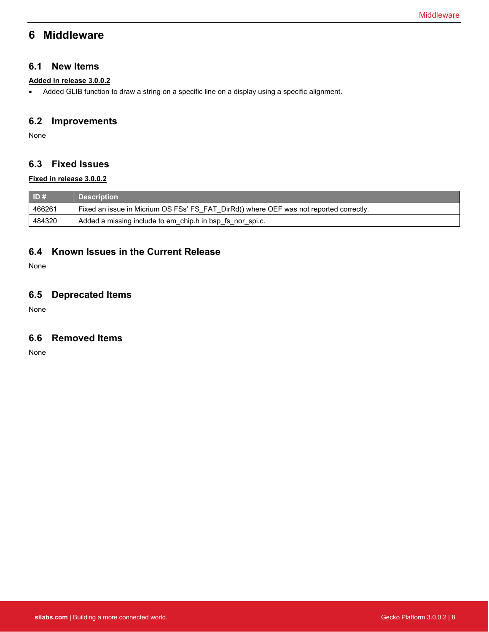## <span id="page-8-0"></span>**6 Middleware**

#### **6.1 New Items**

#### **Added in release 3.0.0.2**

• Added GLIB function to draw a string on a specific line on a display using a specific alignment.

### **6.2 Improvements**

None

### **6.3 Fixed Issues**

#### **Fixed in release 3.0.0.2**

| ID#    | <b>Description</b>                                                                     |
|--------|----------------------------------------------------------------------------------------|
| 466261 | Fixed an issue in Micrium OS FSs' FS FAT DirRd() where OEF was not reported correctly. |
| 484320 | Added a missing include to em chip.h in bsp fs nor spi.c.                              |

### **6.4 Known Issues in the Current Release**

None

### **6.5 Deprecated Items**

None

### **6.6 Removed Items**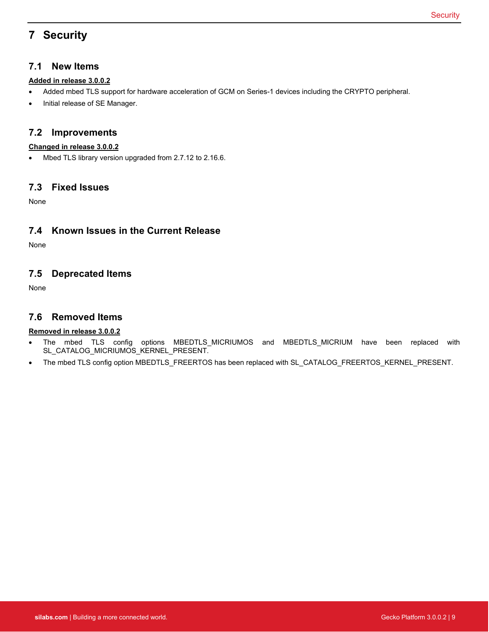## <span id="page-9-0"></span>**7 Security**

### **7.1 New Items**

#### **Added in release 3.0.0.2**

- Added mbed TLS support for hardware acceleration of GCM on Series-1 devices including the CRYPTO peripheral.
- Initial release of SE Manager.

#### **7.2 Improvements**

#### **Changed in release 3.0.0.2**

• Mbed TLS library version upgraded from 2.7.12 to 2.16.6.

#### **7.3 Fixed Issues**

None

### **7.4 Known Issues in the Current Release**

None

### **7.5 Deprecated Items**

None

#### **7.6 Removed Items**

#### **Removed in release 3.0.0.2**

- The mbed TLS config options MBEDTLS\_MICRIUMOS and MBEDTLS\_MICRIUM have been replaced with SL\_CATALOG\_MICRIUMOS\_KERNEL\_PRESENT.
- The mbed TLS config option MBEDTLS\_FREERTOS has been replaced with SL\_CATALOG\_FREERTOS\_KERNEL\_PRESENT.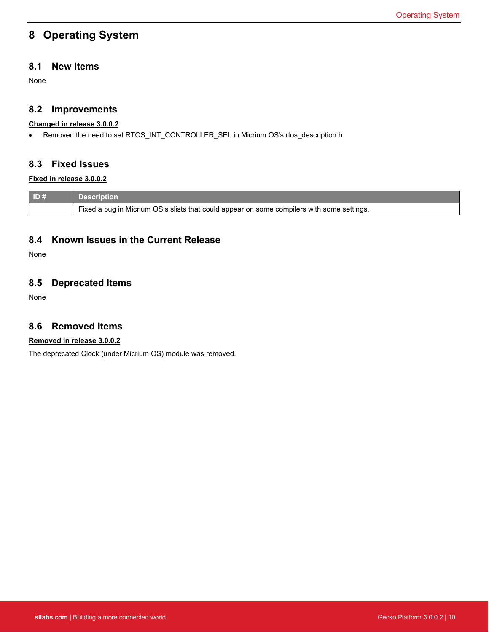## <span id="page-10-0"></span>**8 Operating System**

### **8.1 New Items**

None

#### **8.2 Improvements**

#### **Changed in release 3.0.0.2**

• Removed the need to set RTOS\_INT\_CONTROLLER\_SEL in Micrium OS's rtos\_description.h.

#### **8.3 Fixed Issues**

#### **Fixed in release 3.0.0.2**

| ID# | <b>Description</b>                                                                         |
|-----|--------------------------------------------------------------------------------------------|
|     | Fixed a bug in Micrium OS's slists that could appear on some compilers with some settings. |

#### **8.4 Known Issues in the Current Release**

None

### **8.5 Deprecated Items**

None

#### **8.6 Removed Items**

#### **Removed in release 3.0.0.2**

The deprecated Clock (under Micrium OS) module was removed.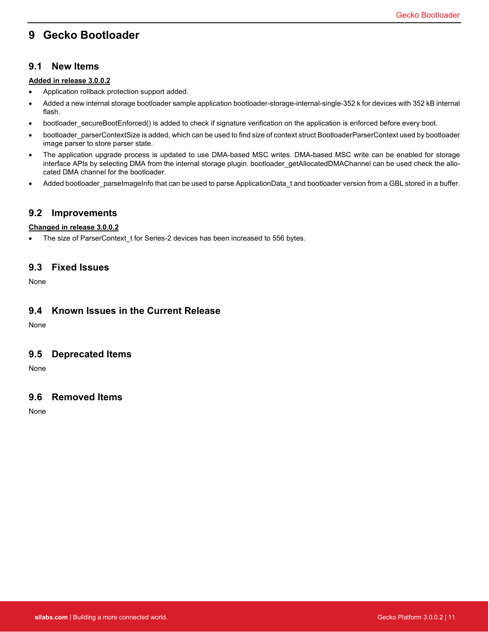## <span id="page-11-0"></span>**9 Gecko Bootloader**

#### **9.1 New Items**

#### **Added in release 3.0.0.2**

- Application rollback protection support added.
- Added a new internal storage bootloader sample application bootloader-storage-internal-single-352 k for devices with 352 kB internal flash.
- bootloader secureBootEnforced() is added to check if signature verification on the application is enforced before every boot.
- bootloader\_parserContextSize is added, which can be used to find size of context struct BootloaderParserContext used by bootloader image parser to store parser state.
- The application upgrade process is updated to use DMA-based MSC writes. DMA-based MSC write can be enabled for storage interface APIs by selecting DMA from the internal storage plugin. bootloader getAllocatedDMAChannel can be used check the allocated DMA channel for the bootloader.
- Added bootloader\_parseImageInfo that can be used to parse ApplicationData\_t and bootloader version from a GBL stored in a buffer.

### **9.2 Improvements**

#### **Changed in release 3.0.0.2**

• The size of ParserContext t for Series-2 devices has been increased to 556 bytes.

#### **9.3 Fixed Issues**

None

#### **9.4 Known Issues in the Current Release**

None

#### **9.5 Deprecated Items**

None

### **9.6 Removed Items**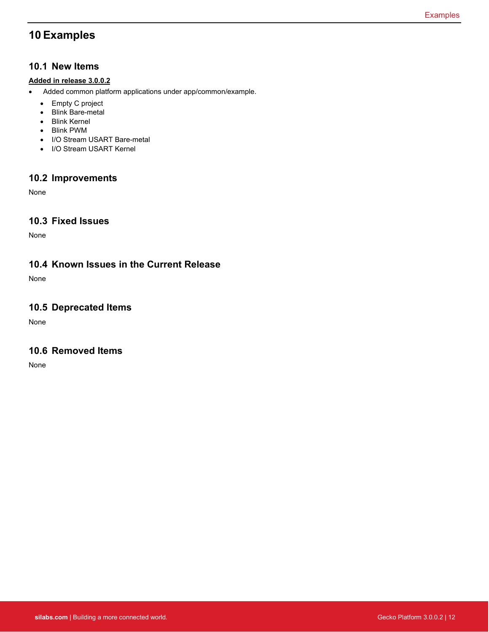## <span id="page-12-0"></span>**10 Examples**

#### **10.1 New Items**

#### **Added in release 3.0.0.2**

- Added common platform applications under app/common/example.
	- Empty C project
	- Blink Bare-metal
	- Blink Kernel
	- Blink PWM
	- I/O Stream USART Bare-metal
	- I/O Stream USART Kernel

### **10.2 Improvements**

None

### **10.3 Fixed Issues**

None

### **10.4 Known Issues in the Current Release**

None

### **10.5 Deprecated Items**

None

#### **10.6 Removed Items**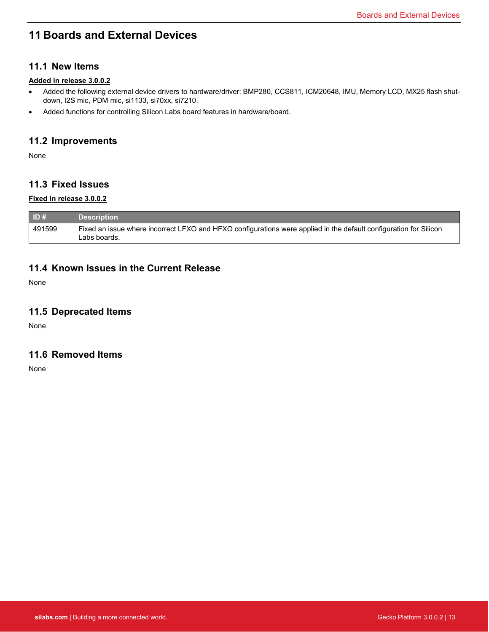## <span id="page-13-0"></span>**11 Boards and External Devices**

### **11.1 New Items**

#### **Added in release 3.0.0.2**

- Added the following external device drivers to hardware/driver: BMP280, CCS811, ICM20648, IMU, Memory LCD, MX25 flash shutdown, I2S mic, PDM mic, si1133, si70xx, si7210.
- Added functions for controlling Silicon Labs board features in hardware/board.

### **11.2 Improvements**

None

### **11.3 Fixed Issues**

#### **Fixed in release 3.0.0.2**

| $\blacksquare$ ID# | <b>Description</b>                                                                                                                |
|--------------------|-----------------------------------------------------------------------------------------------------------------------------------|
| 491599             | Fixed an issue where incorrect LFXO and HFXO configurations were applied in the default configuration for Silicon<br>Labs boards. |

#### **11.4 Known Issues in the Current Release**

None

#### **11.5 Deprecated Items**

None

#### **11.6 Removed Items**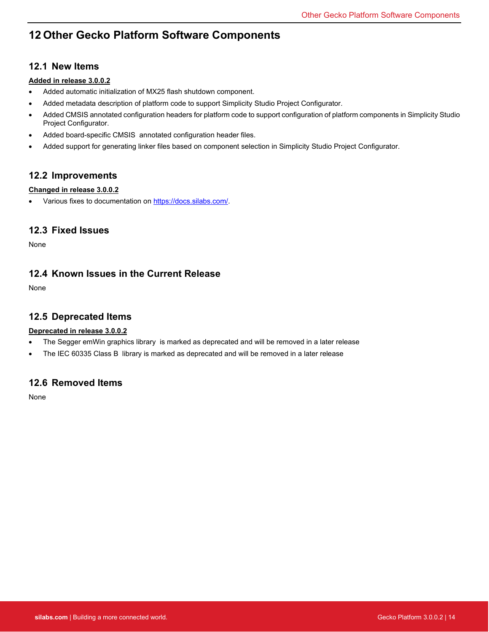## <span id="page-14-0"></span>**12 Other Gecko Platform Software Components**

### **12.1 New Items**

#### **Added in release 3.0.0.2**

- Added automatic initialization of MX25 flash shutdown component.
- Added metadata description of platform code to support Simplicity Studio Project Configurator.
- Added CMSIS annotated configuration headers for platform code to support configuration of platform components in Simplicity Studio Project Configurator.
- Added board-specific CMSIS annotated configuration header files.
- Added support for generating linker files based on component selection in Simplicity Studio Project Configurator.

### **12.2 Improvements**

#### **Changed in release 3.0.0.2**

• Various fixes to documentation on [https://docs.silabs.com/.](https://docs.silabs.com/)

### **12.3 Fixed Issues**

None

### **12.4 Known Issues in the Current Release**

None

#### **12.5 Deprecated Items**

#### **Deprecated in release 3.0.0.2**

- The Segger emWin graphics library is marked as deprecated and will be removed in a later release
- The IEC 60335 Class B library is marked as deprecated and will be removed in a later release

### **12.6 Removed Items**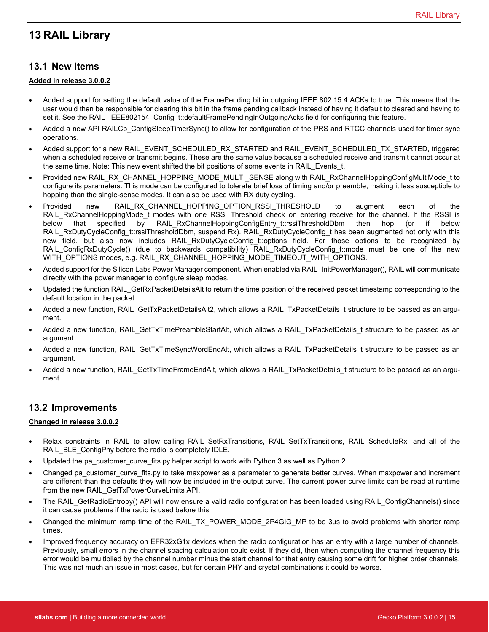## <span id="page-15-0"></span>**13 RAIL Library**

### **13.1 New Items**

#### **Added in release 3.0.0.2**

- Added support for setting the default value of the FramePending bit in outgoing IEEE 802.15.4 ACKs to true. This means that the user would then be responsible for clearing this bit in the frame pending callback instead of having it default to cleared and having to set it. See the RAIL\_IEEE802154\_Config\_t::defaultFramePendingInOutgoingAcks field for configuring this feature.
- Added a new API RAILCb ConfigSleepTimerSync() to allow for configuration of the PRS and RTCC channels used for timer sync operations.
- Added support for a new RAIL\_EVENT\_SCHEDULED\_RX\_STARTED and RAIL\_EVENT\_SCHEDULED\_TX\_STARTED, triggered when a scheduled receive or transmit begins. These are the same value because a scheduled receive and transmit cannot occur at the same time. Note: This new event shifted the bit positions of some events in RAIL\_Events\_t.
- Provided new RAIL\_RX\_CHANNEL\_HOPPING\_MODE\_MULTI\_SENSE along with RAIL\_RxChannelHoppingConfigMultiMode\_t to configure its parameters. This mode can be configured to tolerate brief loss of timing and/or preamble, making it less susceptible to hopping than the single-sense modes. It can also be used with RX duty cycling.
- Provided new RAIL\_RX\_CHANNEL\_HOPPING\_OPTION\_RSSI\_THRESHOLD to augment each of the RAIL\_RxChannelHoppingMode\_t modes with one RSSI Threshold check on entering receive for the channel. If the RSSI is below that specified by RAIL\_RxChannelHoppingConfigEntry\_t::rssiThresholdDbm then hop (or if below RAIL\_RxDutyCycleConfig\_t::rssiThresholdDbm, suspend Rx). RAIL\_RxDutyCycleConfig\_t has been augmented not only with this new field, but also now includes RAIL\_RxDutyCycleConfig\_t::options field. For those options to be recognized by RAIL\_ConfigRxDutyCycle() (due to backwards compatibility) RAIL\_RxDutyCycleConfig\_t::mode must be one of the new WITH\_OPTIONS modes, e.g. RAIL\_RX\_CHANNEL\_HOPPING\_MODE\_TIMEOUT\_WITH\_OPTIONS.
- Added support for the Silicon Labs Power Manager component. When enabled via RAIL\_InitPowerManager(), RAIL will communicate directly with the power manager to configure sleep modes.
- Updated the function RAIL\_GetRxPacketDetailsAlt to return the time position of the received packet timestamp corresponding to the default location in the packet.
- Added a new function, RAIL\_GetTxPacketDetailsAlt2, which allows a RAIL\_TxPacketDetails\_t structure to be passed as an argument.
- Added a new function, RAIL\_GetTxTimePreambleStartAlt, which allows a RAIL\_TxPacketDetails\_t structure to be passed as an argument.
- Added a new function, RAIL\_GetTxTimeSyncWordEndAlt, which allows a RAIL\_TxPacketDetails\_t structure to be passed as an argument.
- Added a new function, RAIL\_GetTxTimeFrameEndAlt, which allows a RAIL\_TxPacketDetails\_t structure to be passed as an argument.

### **13.2 Improvements**

#### **Changed in release 3.0.0.2**

- Relax constraints in RAIL to allow calling RAIL\_SetRxTransitions, RAIL\_SetTxTransitions, RAIL\_ScheduleRx, and all of the RAIL\_BLE\_ConfigPhy before the radio is completely IDLE.
- Updated the pa\_customer\_curve\_fits.py helper script to work with Python 3 as well as Python 2.
- Changed pa\_customer\_curve\_fits.py to take maxpower as a parameter to generate better curves. When maxpower and increment are different than the defaults they will now be included in the output curve. The current power curve limits can be read at runtime from the new RAIL\_GetTxPowerCurveLimits API.
- The RAIL\_GetRadioEntropy() API will now ensure a valid radio configuration has been loaded using RAIL\_ConfigChannels() since it can cause problems if the radio is used before this.
- Changed the minimum ramp time of the RAIL\_TX\_POWER\_MODE\_2P4GIG\_MP to be 3us to avoid problems with shorter ramp times.
- Improved frequency accuracy on EFR32xG1x devices when the radio configuration has an entry with a large number of channels. Previously, small errors in the channel spacing calculation could exist. If they did, then when computing the channel frequency this error would be multiplied by the channel number minus the start channel for that entry causing some drift for higher order channels. This was not much an issue in most cases, but for certain PHY and crystal combinations it could be worse.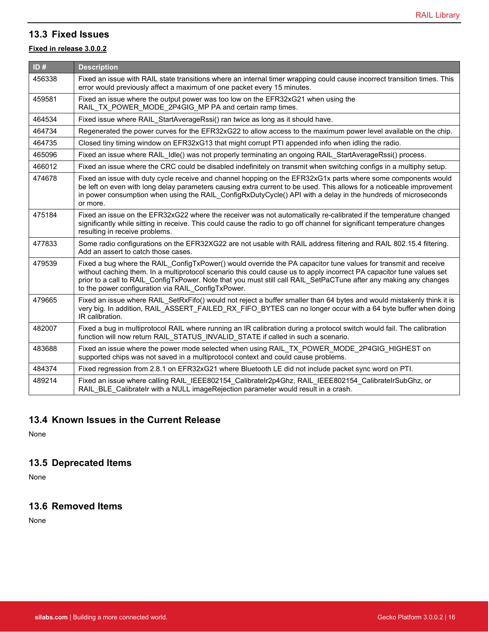### **13.3 Fixed Issues**

#### **Fixed in release 3.0.0.2**

| ID#    | <b>Description</b>                                                                                                                                                                                                                                                                                                                                                                                                  |
|--------|---------------------------------------------------------------------------------------------------------------------------------------------------------------------------------------------------------------------------------------------------------------------------------------------------------------------------------------------------------------------------------------------------------------------|
| 456338 | Fixed an issue with RAIL state transitions where an internal timer wrapping could cause incorrect transition times. This<br>error would previously affect a maximum of one packet every 15 minutes.                                                                                                                                                                                                                 |
| 459581 | Fixed an issue where the output power was too low on the EFR32xG21 when using the<br>RAIL_TX_POWER_MODE_2P4GIG_MP PA and certain ramp times.                                                                                                                                                                                                                                                                        |
| 464534 | Fixed issue where RAIL_StartAverageRssi() ran twice as long as it should have.                                                                                                                                                                                                                                                                                                                                      |
| 464734 | Regenerated the power curves for the EFR32xG22 to allow access to the maximum power level available on the chip.                                                                                                                                                                                                                                                                                                    |
| 464735 | Closed tiny timing window on EFR32xG13 that might corrupt PTI appended info when idling the radio.                                                                                                                                                                                                                                                                                                                  |
| 465096 | Fixed an issue where RAIL Idle() was not properly terminating an ongoing RAIL StartAverageRssi() process.                                                                                                                                                                                                                                                                                                           |
| 466012 | Fixed an issue where the CRC could be disabled indefinitely on transmit when switching configs in a multiphy setup.                                                                                                                                                                                                                                                                                                 |
| 474678 | Fixed an issue with duty cycle receive and channel hopping on the EFR32xG1x parts where some components would<br>be left on even with long delay parameters causing extra current to be used. This allows for a noticeable improvement<br>in power consumption when using the RAIL ConfigRxDutyCycle() API with a delay in the hundreds of microseconds<br>or more.                                                 |
| 475184 | Fixed an issue on the EFR32xG22 where the receiver was not automatically re-calibrated if the temperature changed<br>significantly while sitting in receive. This could cause the radio to go off channel for significant temperature changes<br>resulting in receive problems.                                                                                                                                     |
| 477833 | Some radio configurations on the EFR32XG22 are not usable with RAIL address filtering and RAIL 802.15.4 filtering.<br>Add an assert to catch those cases.                                                                                                                                                                                                                                                           |
| 479539 | Fixed a bug where the RAIL ConfigTxPower() would override the PA capacitor tune values for transmit and receive<br>without caching them. In a multiprotocol scenario this could cause us to apply incorrect PA capacitor tune values set<br>prior to a call to RAIL_ConfigTxPower. Note that you must still call RAIL_SetPaCTune after any making any changes<br>to the power configuration via RAIL ConfigTxPower. |
| 479665 | Fixed an issue where RAIL SetRxFifo() would not reject a buffer smaller than 64 bytes and would mistakenly think it is<br>very big. In addition, RAIL ASSERT FAILED RX FIFO BYTES can no longer occur with a 64 byte buffer when doing<br>IR calibration.                                                                                                                                                           |
| 482007 | Fixed a bug in multiprotocol RAIL where running an IR calibration during a protocol switch would fail. The calibration<br>function will now return RAIL_STATUS_INVALID_STATE if called in such a scenario.                                                                                                                                                                                                          |
| 483688 | Fixed an issue where the power mode selected when using RAIL TX POWER MODE 2P4GIG HIGHEST on<br>supported chips was not saved in a multiprotocol context and could cause problems.                                                                                                                                                                                                                                  |
| 484374 | Fixed regression from 2.8.1 on EFR32xG21 where Bluetooth LE did not include packet sync word on PTI.                                                                                                                                                                                                                                                                                                                |
| 489214 | Fixed an issue where calling RAIL IEEE802154 CalibrateIr2p4Ghz, RAIL IEEE802154 CalibrateIrSubGhz, or<br>RAIL_BLE_CalibrateIr with a NULL imageRejection parameter would result in a crash.                                                                                                                                                                                                                         |

### **13.4 Known Issues in the Current Release**

None

## **13.5 Deprecated Items**

None

### **13.6 Removed Items**